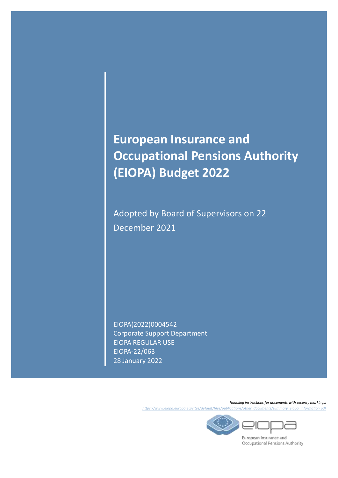# **European Insurance and Occupational Pensions Authority (EIOPA) Budget 2022**

Adopted by Board of Supervisors on 22 December 2021

EIOPA(2022)0004542 Corporate Support Department EIOPA REGULAR USE EIOPA-22/063 28 January 2022

> *Handling instructions for documents with security markings: [https://www.eiopa.europa.eu/sites/default/files/publications/other\\_documents/summary\\_eiopa\\_information.pdf](https://www.eiopa.europa.eu/sites/default/files/publications/other_documents/summary_eiopa_information.pdf)*



European Insurance and Occupational Pensions Authority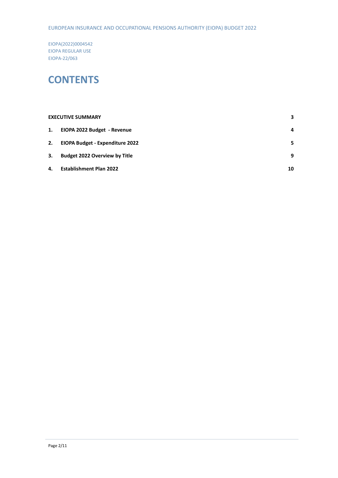#### EUROPEAN INSURANCE AND OCCUPATIONAL PENSIONS AUTHORITY (EIOPA) BUDGET 2022

EIOPA(2022)0004542 EIOPA REGULAR USE EIOPA-22/063

### **CONTENTS**

|    | <b>EXECUTIVE SUMMARY</b>               | 3  |
|----|----------------------------------------|----|
| 1. | EIOPA 2022 Budget - Revenue            | 4  |
| 2. | <b>EIOPA Budget - Expenditure 2022</b> | 5  |
| 3. | <b>Budget 2022 Overview by Title</b>   | 9  |
| 4. | <b>Establishment Plan 2022</b>         | 10 |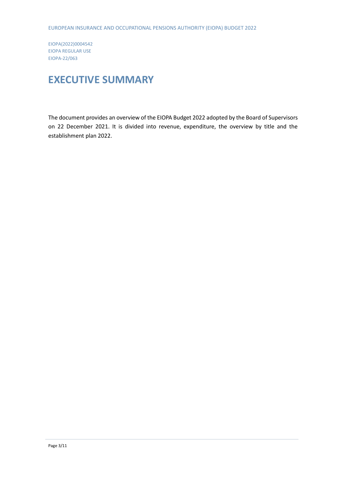# <span id="page-2-0"></span>**EXECUTIVE SUMMARY**

The document provides an overview of the EIOPA Budget 2022 adopted by the Board of Supervisors on 22 December 2021. It is divided into revenue, expenditure, the overview by title and the establishment plan 2022.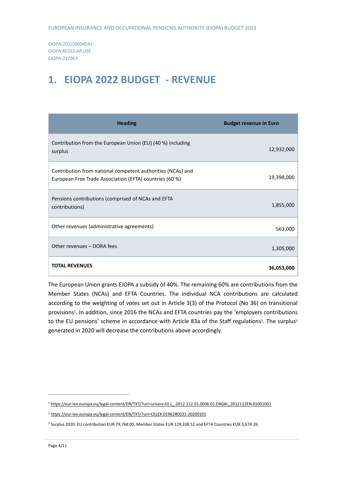### <span id="page-3-0"></span>**1. EIOPA 2022 BUDGET - REVENUE**

| <b>Heading</b>                                                                                                         | <b>Budget revenue in Euro</b> |
|------------------------------------------------------------------------------------------------------------------------|-------------------------------|
| Contribution from the European Union (EU) (40 %) including<br>surplus                                                  | 12,932,000                    |
| Contribution from national competent authorities (NCAs) and<br>European Free Trade Association (EFTA) countries (60 %) | 19,398,000                    |
| Pensions contributions (comprised of NCAs and EFTA<br>contributions)                                                   | 1,855,000                     |
| Other revenues (administrative agreements)                                                                             | 563,000                       |
| Other revenues - DORA fees                                                                                             | 1,305,000                     |
| <b>TOTAL REVENUES</b>                                                                                                  | 36,053,000                    |

The European Union grants EIOPA a subsidy of 40%. The remaining 60% are contributions from the Member States (NCAs) and EFTA Countries. The individual NCA contributions are calculated according to the weighting of votes set out in Article 3(3) of the Protocol (No 36) on transitional provisions<sup>1</sup>. In addition, since 2016 the NCAs and EFTA countries pay the 'employers contributions to the EU pensions' scheme in accordance with Article 83a of the Staff regulations<sup>2</sup>. The surplus<sup>3</sup> generated in 2020 will decrease the contributions above accordingly.

1

<sup>1</sup> [https://eur-lex.europa.eu/legal-content/EN/TXT/?uri=uriserv:OJ.L\\_.2012.112.01.0006.01.ENG#L\\_2012112EN.01001001](https://eur-lex.europa.eu/legal-content/EN/TXT/?uri=uriserv:OJ.L_.2012.112.01.0006.01.ENG#L_2012112EN.01001001)

<sup>2</sup> <https://eur-lex.europa.eu/legal-content/EN/TXT/?uri=CELEX:01962R0031-20200101>

<sup>3</sup> Surplus 2020: EU contribution EUR 79,768.00, Member States EUR 129,338.51 and EFTA Countries EUR 3,674.39.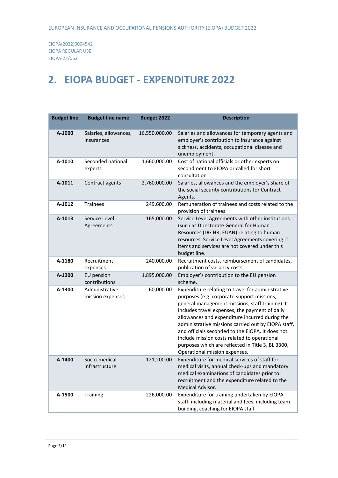# <span id="page-4-0"></span>**2. EIOPA BUDGET - EXPENDITURE 2022**

| <b>Budget line</b> | <b>Budget line name</b>             | <b>Budget 2022</b> | <b>Description</b>                                                                                                                                                                                                                                                                                                                                                                                                                                                                                       |
|--------------------|-------------------------------------|--------------------|----------------------------------------------------------------------------------------------------------------------------------------------------------------------------------------------------------------------------------------------------------------------------------------------------------------------------------------------------------------------------------------------------------------------------------------------------------------------------------------------------------|
| A-1000             | Salaries, allowances,<br>insurances | 16,550,000.00      | Salaries and allowances for temporary agents and<br>employer's contribution to insurance against<br>sickness, accidents, occupational disease and<br>unemployment.                                                                                                                                                                                                                                                                                                                                       |
| A-1010             | Seconded national<br>experts        | 1,660,000.00       | Cost of national officials or other experts on<br>secondment to EIOPA or called for short<br>consultation                                                                                                                                                                                                                                                                                                                                                                                                |
| A-1011             | Contract agents                     | 2,760,000.00       | Salaries, allowances and the employer's share of<br>the social security contributions for Contract<br>Agents.                                                                                                                                                                                                                                                                                                                                                                                            |
| A-1012             | <b>Trainees</b>                     | 249,600.00         | Remuneration of trainees and costs related to the<br>provision of trainees.                                                                                                                                                                                                                                                                                                                                                                                                                              |
| A-1013             | Service Level<br>Agreements         | 165,000.00         | Service Level Agreements with other institutions<br>(such as Directorate General for Human<br>Resources (DG HR, EUAN) relating to human<br>resources. Service Level Agreements covering IT<br>items and services are not covered under this<br>budget line.                                                                                                                                                                                                                                              |
| A-1180             | Recruitment<br>expenses             | 240,000.00         | Recruitment costs, reimbursement of candidates,<br>publication of vacancy costs.                                                                                                                                                                                                                                                                                                                                                                                                                         |
| A-1200             | EU pension<br>contributions         | 1,895,000.00       | Employer's contribution to the EU pension<br>scheme.                                                                                                                                                                                                                                                                                                                                                                                                                                                     |
| A-1300             | Administrative<br>mission expenses  | 60,000.00          | Expenditure relating to travel for administrative<br>purposes (e.g. corporate support missions,<br>general management missions, staff training). It<br>includes travel expenses, the payment of daily<br>allowances and expenditure incurred during the<br>administrative missions carried out by EIOPA staff,<br>and officials seconded to the EIOPA. It does not<br>include mission costs related to operational<br>purposes which are reflected in Title 3, BL 3300,<br>Operational mission expenses. |
| A-1400             | Socio-medical<br>infrastructure     | 121,200.00         | Expenditure for medical services of staff for<br>medical visits, annual check-ups and mandatory<br>medical examinations of candidates prior to<br>recruitment and the expenditure related to the<br>Medical Advisor.                                                                                                                                                                                                                                                                                     |
| A-1500             | Training                            | 226,000.00         | Expenditure for training undertaken by EIOPA<br>staff, including material and fees, including team<br>building, coaching for EIOPA staff                                                                                                                                                                                                                                                                                                                                                                 |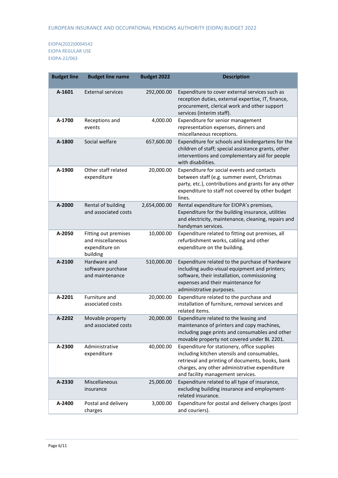| <b>Budget line</b> | <b>Budget line name</b>                                                 | <b>Budget 2022</b> | <b>Description</b>                                                                                                                                                                                                                   |
|--------------------|-------------------------------------------------------------------------|--------------------|--------------------------------------------------------------------------------------------------------------------------------------------------------------------------------------------------------------------------------------|
| A-1601             | <b>External services</b>                                                | 292,000.00         | Expenditure to cover external services such as<br>reception duties, external expertise, IT, finance,<br>procurement, clerical work and other support<br>services (interim staff).                                                    |
| A-1700             | Receptions and<br>events                                                | 4,000.00           | Expenditure for senior management<br>representation expenses, dinners and<br>miscellaneous receptions.                                                                                                                               |
| A-1800             | Social welfare                                                          | 657,600.00         | Expenditure for schools and kindergartens for the<br>children of staff; special assistance grants, other<br>interventions and complementary aid for people<br>with disabilities.                                                     |
| A-1900             | Other staff related<br>expenditure                                      | 20,000.00          | Expenditure for social events and contacts<br>between staff (e.g. summer event, Christmas<br>party, etc.), contributions and grants for any other<br>expenditure to staff not covered by other budget<br>lines.                      |
| A-2000             | Rental of building<br>and associated costs                              | 2,654,000.00       | Rental expenditure for EIOPA's premises,<br>Expenditure for the building insurance, utilities<br>and electricity, maintenance, cleaning, repairs and<br>handyman services.                                                           |
| A-2050             | Fitting out premises<br>and miscellaneous<br>expenditure on<br>building | 10,000.00          | Expenditure related to fitting out premises, all<br>refurbishment works, cabling and other<br>expenditure on the building.                                                                                                           |
| A-2100             | Hardware and<br>software purchase<br>and maintenance                    | 510,000.00         | Expenditure related to the purchase of hardware<br>including audio-visual equipment and printers;<br>software, their installation, commissioning<br>expenses and their maintenance for<br>administrative purposes.                   |
| A-2201             | Furniture and<br>associated costs                                       | 20,000.00          | Expenditure related to the purchase and<br>installation of furniture, removal services and<br>related items.                                                                                                                         |
| A-2202             | Movable property<br>and associated costs                                | 20,000.00          | Expenditure related to the leasing and<br>maintenance of printers and copy machines,<br>including page prints and consumables and other<br>movable property not covered under BL 2201.                                               |
| A-2300             | Administrative<br>expenditure                                           | 40,000.00          | Expenditure for stationery, office supplies<br>including kitchen utensils and consumables,<br>retrieval and printing of documents, books, bank<br>charges, any other administrative expenditure<br>and facility management services. |
| A-2330             | Miscellaneous<br>insurance                                              | 25,000.00          | Expenditure related to all type of insurance,<br>excluding building insurance and employment-<br>related insurance.                                                                                                                  |
| A-2400             | Postal and delivery<br>charges                                          | 3,000.00           | Expenditure for postal and delivery charges (post<br>and couriers).                                                                                                                                                                  |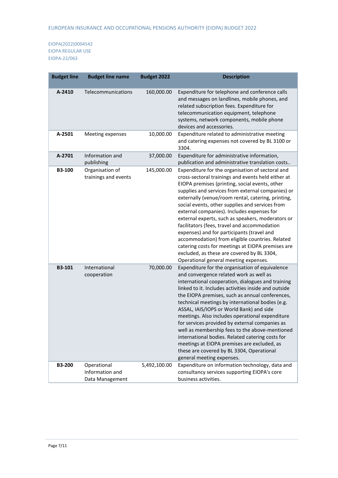| <b>Budget line</b> | <b>Budget line name</b>                           | <b>Budget 2022</b> | <b>Description</b>                                                                                                                                                                                                                                                                                                                                                                                                                                                                                                                                                                                                                                                                                                     |
|--------------------|---------------------------------------------------|--------------------|------------------------------------------------------------------------------------------------------------------------------------------------------------------------------------------------------------------------------------------------------------------------------------------------------------------------------------------------------------------------------------------------------------------------------------------------------------------------------------------------------------------------------------------------------------------------------------------------------------------------------------------------------------------------------------------------------------------------|
| A-2410             | Telecommunications                                | 160,000.00         | Expenditure for telephone and conference calls<br>and messages on landlines, mobile phones, and<br>related subscription fees. Expenditure for<br>telecommunication equipment, telephone<br>systems, network components, mobile phone<br>devices and accessories.                                                                                                                                                                                                                                                                                                                                                                                                                                                       |
| A-2501             | Meeting expenses                                  | 10,000.00          | Expenditure related to administrative meeting<br>and catering expenses not covered by BL 3100 or<br>3304.                                                                                                                                                                                                                                                                                                                                                                                                                                                                                                                                                                                                              |
| A-2701             | Information and<br>publishing                     | 37,000.00          | Expenditure for administrative information,<br>publication and administrative translation costs                                                                                                                                                                                                                                                                                                                                                                                                                                                                                                                                                                                                                        |
| B3-100             | Organisation of<br>trainings and events           | 145,000.00         | Expenditure for the organisation of sectoral and<br>cross-sectoral trainings and events held either at<br>EIOPA premises (printing, social events, other<br>supplies and services from external companies) or<br>externally (venue/room rental, catering, printing,<br>social events, other supplies and services from<br>external companies). Includes expenses for<br>external experts, such as speakers, moderators or<br>facilitators (fees, travel and accommodation<br>expenses) and for participants (travel and<br>accommodation) from eligible countries. Related<br>catering costs for meetings at EIOPA premises are<br>excluded, as these are covered by BL 3304,<br>Operational general meeting expenses. |
| B3-101             | International<br>cooperation                      | 70,000.00          | Expenditure for the organisation of equivalence<br>and convergence related work as well as<br>international cooperation, dialogues and training<br>linked to it. Includes activities inside and outside<br>the EIOPA premises, such as annual conferences,<br>technical meetings by international bodies (e.g.<br>ASSAL, IAIS/IOPS or World Bank) and side<br>meetings. Also includes operational expenditure<br>for services provided by external companies as<br>well as membership fees to the above-mentioned<br>international bodies. Related catering costs for<br>meetings at EIOPA premises are excluded, as<br>these are covered by BL 3304, Operational<br>general meeting expenses.                         |
| <b>B3-200</b>      | Operational<br>Information and<br>Data Management | 5,492,100.00       | Expenditure on information technology, data and<br>consultancy services supporting EIOPA's core<br>business activities.                                                                                                                                                                                                                                                                                                                                                                                                                                                                                                                                                                                                |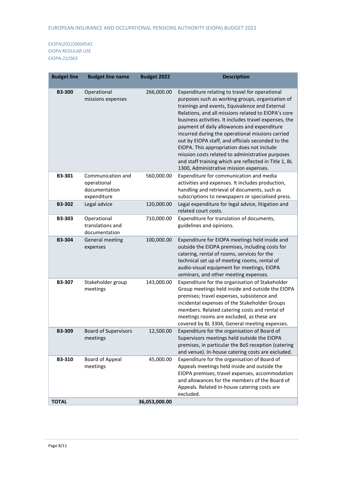| <b>Budget line</b> | <b>Budget line name</b>                                          | <b>Budget 2022</b> | <b>Description</b>                                                                                                                                                                                                                                                                                                                                                                                                                                                                                                                                                                                                                |
|--------------------|------------------------------------------------------------------|--------------------|-----------------------------------------------------------------------------------------------------------------------------------------------------------------------------------------------------------------------------------------------------------------------------------------------------------------------------------------------------------------------------------------------------------------------------------------------------------------------------------------------------------------------------------------------------------------------------------------------------------------------------------|
| <b>B3-300</b>      | Operational<br>missions expenses                                 | 266,000.00         | Expenditure relating to travel for operational<br>purposes such as working groups, organisation of<br>trainings and events, Equivalence and External<br>Relations, and all missions related to EIOPA's core<br>business activities. It includes travel expenses, the<br>payment of daily allowances and expenditure<br>incurred during the operational missions carried<br>out by EIOPA staff, and officials seconded to the<br>EIOPA. This appropriation does not include<br>mission costs related to administrative purposes<br>and staff training which are reflected in Title 1, BL<br>1300, Administrative mission expenses. |
| <b>B3-301</b>      | Communication and<br>operational<br>documentation<br>expenditure | 560,000.00         | Expenditure for communication and media<br>activities and expenses. It includes production,<br>handling and retrieval of documents, such as<br>subscriptions to newspapers or specialised press.                                                                                                                                                                                                                                                                                                                                                                                                                                  |
| <b>B3-302</b>      | Legal advice                                                     | 120,000.00         | Legal expenditure for legal advice, litigation and<br>related court costs.                                                                                                                                                                                                                                                                                                                                                                                                                                                                                                                                                        |
| <b>B3-303</b>      | Operational<br>translations and<br>documentation                 | 710,000.00         | Expenditure for translation of documents,<br>guidelines and opinions.                                                                                                                                                                                                                                                                                                                                                                                                                                                                                                                                                             |
| <b>B3-304</b>      | General meeting<br>expenses                                      | 100,000.00         | Expenditure for EIOPA meetings held inside and<br>outside the EIOPA premises, including costs for<br>catering, rental of rooms, services for the<br>technical set up of meeting rooms, rental of<br>audio-visual equipment for meetings, EIOPA<br>seminars, and other meeting expenses.                                                                                                                                                                                                                                                                                                                                           |
| <b>B3-307</b>      | Stakeholder group<br>meetings                                    | 143,000.00         | Expenditure for the organisation of Stakeholder<br>Group meetings held inside and outside the EIOPA<br>premises; travel expenses, subsistence and<br>incidental expenses of the Stakeholder Groups<br>members. Related catering costs and rental of<br>meetings rooms are excluded, as these are<br>covered by BL 3304, General meeting expenses.                                                                                                                                                                                                                                                                                 |
| <b>B3-309</b>      | <b>Board of Supervisors</b><br>meetings                          | 12,500.00          | Expenditure for the organisation of Board of<br>Supervisors meetings held outside the EIOPA<br>premises, in particular the BoS reception (catering<br>and venue). In-house catering costs are excluded.                                                                                                                                                                                                                                                                                                                                                                                                                           |
| B3-310             | Board of Appeal<br>meetings                                      | 45,000.00          | Expenditure for the organisation of Board of<br>Appeals meetings held inside and outside the<br>EIOPA premises; travel expenses, accommodation<br>and allowances for the members of the Board of<br>Appeals. Related in-house catering costs are<br>excluded.                                                                                                                                                                                                                                                                                                                                                                     |
| <b>TOTAL</b>       |                                                                  | 36,053,000.00      |                                                                                                                                                                                                                                                                                                                                                                                                                                                                                                                                                                                                                                   |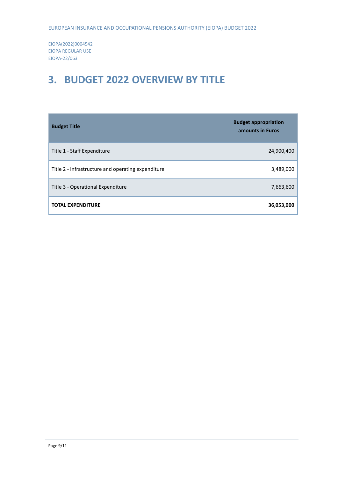# <span id="page-8-0"></span>**3. BUDGET 2022 OVERVIEW BY TITLE**

| <b>Budget Title</b>                                | <b>Budget appropriation</b><br>amounts in Euros |
|----------------------------------------------------|-------------------------------------------------|
| Title 1 - Staff Expenditure                        | 24,900,400                                      |
| Title 2 - Infrastructure and operating expenditure | 3,489,000                                       |
| Title 3 - Operational Expenditure                  | 7,663,600                                       |
| <b>TOTAL EXPENDITURE</b>                           | 36,053,000                                      |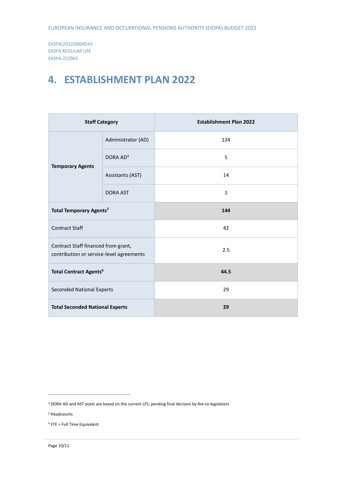#### <span id="page-9-0"></span>**4. ESTABLISHMENT PLAN 2022**

| <b>Staff Category</b>                                                           |                      | <b>Establishment Plan 2022</b> |
|---------------------------------------------------------------------------------|----------------------|--------------------------------|
|                                                                                 | Administrator (AD)   | 124                            |
|                                                                                 | DORA AD <sup>4</sup> | 5                              |
| <b>Temporary Agents</b>                                                         | Assistants (AST)     | 14                             |
|                                                                                 | <b>DORA AST</b>      | $\mathbf{1}$                   |
| <b>Total Temporary Agents<sup>5</sup></b>                                       |                      | 144                            |
| <b>Contract Staff</b>                                                           |                      | 42                             |
| Contract Staff financed from grant,<br>contribution or service-level agreements |                      | 2.5                            |
| <b>Total Contract Agents<sup>6</sup></b>                                        |                      | 44.5                           |
| <b>Seconded National Experts</b>                                                |                      | 29                             |
| <b>Total Seconded National Experts</b>                                          |                      | 29                             |

1

<sup>4</sup> DORA AD and AST posts are based on the current LFS, pending final decision by the co-legislators

<sup>5</sup> Headcounts

 $6$  FTE = Full Time Equivalent